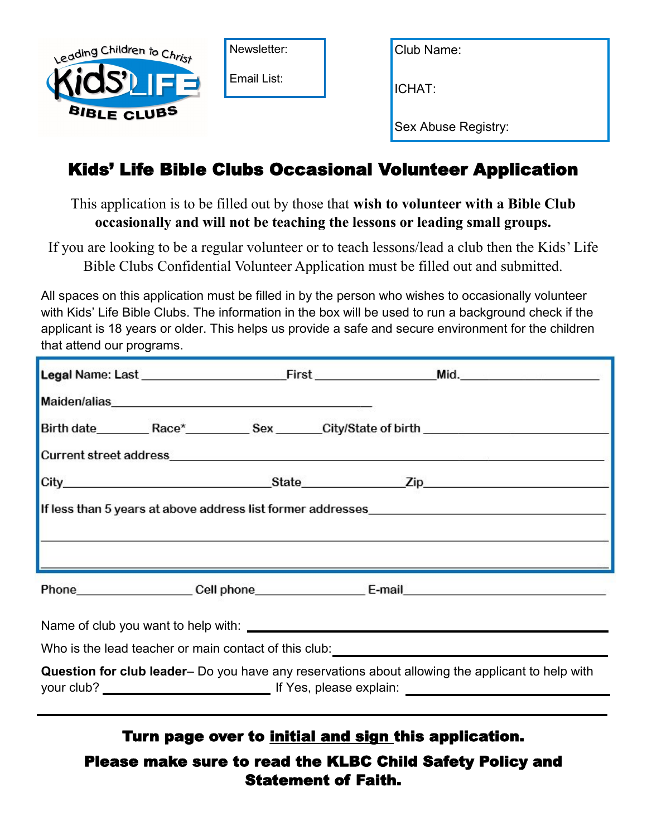

## Kids' Life Bible Clubs Occasional Volunteer Application

This application is to be filled out by those that **wish to volunteer with a Bible Club occasionally and will not be teaching the lessons or leading small groups.** 

If you are looking to be a regular volunteer or to teach lessons/lead a club then the Kids' Life Bible Clubs Confidential Volunteer Application must be filled out and submitted.

All spaces on this application must be filled in by the person who wishes to occasionally volunteer with Kids' Life Bible Clubs. The information in the box will be used to run a background check if the applicant is 18 years or older. This helps us provide a safe and secure environment for the children that attend our programs.

|                                                                                                  |  |  |  | Birth date__________Race*____________Sex _______City/State of birth ________________________________                                                                                                                          |  |  |
|--------------------------------------------------------------------------------------------------|--|--|--|-------------------------------------------------------------------------------------------------------------------------------------------------------------------------------------------------------------------------------|--|--|
|                                                                                                  |  |  |  | Current street address experience and the control of the control of the control of the control of the control of the control of the control of the control of the control of the control of the control of the control of the |  |  |
|                                                                                                  |  |  |  |                                                                                                                                                                                                                               |  |  |
|                                                                                                  |  |  |  | <u> La componenta de la contrada de la contrada de la contrada de la contrada de la contrada de la contrada de la</u>                                                                                                         |  |  |
|                                                                                                  |  |  |  |                                                                                                                                                                                                                               |  |  |
|                                                                                                  |  |  |  |                                                                                                                                                                                                                               |  |  |
| Who is the lead teacher or main contact of this club: __________________________                 |  |  |  |                                                                                                                                                                                                                               |  |  |
| Question for club leader- Do you have any reservations about allowing the applicant to help with |  |  |  |                                                                                                                                                                                                                               |  |  |

## Turn page over to initial and sign this application.

Please make sure to read the KLBC Child Safety Policy and Statement of Faith.